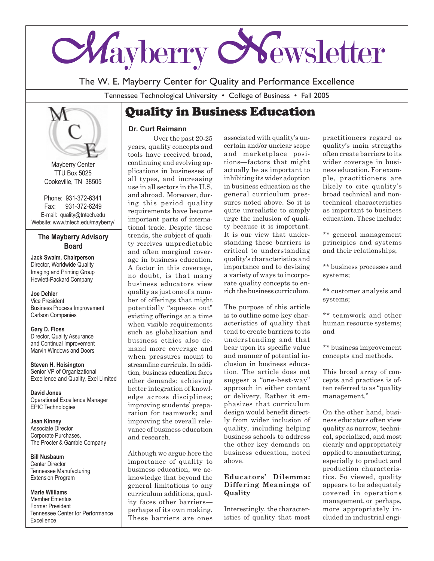

The W. E. Mayberry Center for Quality and Performance Excellence

Tennessee Technological University • College of Business • Fall 2005

# Quality in Business Education



Mayberry Center TTU Box 5025 Cookeville, TN 38505

Phone: 931-372-6341 Fax: 931-372-6249 E-mail: quality@tntech.edu Website: www.tntech.edu/mayberry/

### **The Mayberry Advisory Board**

**Jack Swaim, Chairperson** Director, Worldwide Quality Imaging and Printing Group Hewlett-Packard Company

#### **Joe Dehler**

Vice President Business Process Improvement Carlson Companies

**Gary D. Floss** Director, Quality Assurance and Continual Improvement Marvin Windows and Doors

**Steven H. Hoisington** Senior VP of Organizational Excellence and Quality, Exel Limited

**David Jones** Operational Excellence Manager EPIC Technologies

**Jean Kinney** Associate Director Corporate Purchases, The Procter & Gamble Company

**Bill Nusbaum** Center Director Tennessee Manufacturing Extension Program

**Marie Williams** Member Emeritus Former President Tennessee Center for Performance Excellence

### **Dr. Curt Reimann**

Over the past 20-25 years, quality concepts and tools have received broad, continuing and evolving applications in businesses of all types, and increasing use in all sectors in the U.S. and abroad. Moreover, during this period quality requirements have become important parts of international trade. Despite these trends, the subject of quality receives unpredictable and often marginal coverage in business education. A factor in this coverage, no doubt, is that many business educators view quality as just one of a number of offerings that might potentially "squeeze out" existing offerings at a time when visible requirements such as globalization and business ethics also demand more coverage and when pressures mount to streamline curricula. In addition, business education faces other demands: achieving better integration of knowledge across disciplines; improving students' preparation for teamwork; and improving the overall relevance of business education and research.

Although we argue here the importance of quality to business education, we acknowledge that beyond the general limitations to any curriculum additions, quality faces other barriers perhaps of its own making. These barriers are ones

associated with quality's uncertain and/or unclear scope and marketplace positions—factors that might actually be as important to inhibiting its wider adoption in business education as the general curriculum pressures noted above. So it is quite unrealistic to simply urge the inclusion of quality because it is important. It is our view that understanding these barriers is critical to understanding quality's characteristics and importance and to devising a variety of ways to incorporate quality concepts to enrich the business curriculum.

The purpose of this article is to outline some key characteristics of quality that tend to create barriers to its understanding and that bear upon its specific value and manner of potential inclusion in business education. The article does not suggest a "one-best-way" approach in either content or delivery. Rather it emphasizes that curriculum design would benefit directly from wider inclusion of quality, including helping business schools to address the other key demands on business education, noted above.

#### **Educators' Dilemma: Differing Meanings of Quality**

Interestingly, the characteristics of quality that most

practitioners regard as quality's main strengths often create barriers to its wider coverage in business education. For example, practitioners are likely to cite quality's broad technical and nontechnical characteristics as important to business education. These include:

\*\* general management principles and systems and their relationships;

\*\* business processes and systems;

\*\* customer analysis and systems;

\*\* teamwork and other human resource systems; and

\*\* business improvement concepts and methods.

This broad array of concepts and practices is often referred to as "quality management."

On the other hand, business educators often view quality as narrow, technical, specialized, and most clearly and appropriately applied to manufacturing, especially to product and production characteristics. So viewed, quality appears to be adequately covered in operations management, or perhaps, more appropriately included in industrial engi-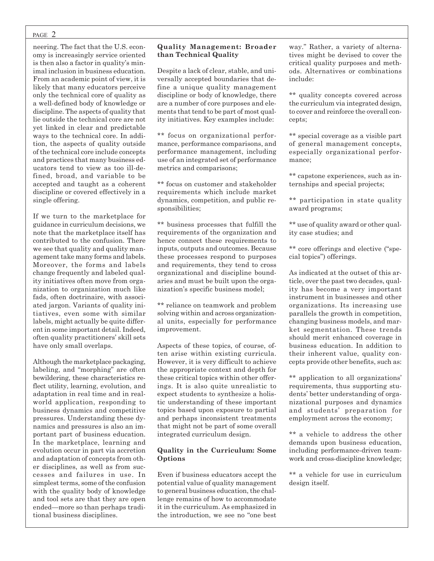#### PAGE 2

neering. The fact that the U.S. economy is increasingly service oriented is then also a factor in quality's minimal inclusion in business education. From an academic point of view, it is likely that many educators perceive only the technical core of quality as a well-defined body of knowledge or discipline. The aspects of quality that lie outside the technical core are not yet linked in clear and predictable ways to the technical core. In addition, the aspects of quality outside of the technical core include concepts and practices that many business educators tend to view as too ill-defined, broad, and variable to be accepted and taught as a coherent discipline or covered effectively in a single offering.

If we turn to the marketplace for guidance in curriculum decisions, we note that the marketplace itself has contributed to the confusion. There we see that quality and quality management take many forms and labels. Moreover, the forms and labels change frequently and labeled quality initiatives often move from organization to organization much like fads, often doctrinaire, with associated jargon. Variants of quality initiatives, even some with similar labels, might actually be quite different in some important detail. Indeed, often quality practitioners' skill sets have only small overlaps.

Although the marketplace packaging, labeling, and "morphing" are often bewildering, these characteristics reflect utility, learning, evolution, and adaptation in real time and in realworld application, responding to business dynamics and competitive pressures. Understanding these dynamics and pressures is also an important part of business education. In the marketplace, learning and evolution occur in part via accretion and adaptation of concepts from other disciplines, as well as from successes and failures in use. In simplest terms, some of the confusion with the quality body of knowledge and tool sets are that they are open ended—more so than perhaps traditional business disciplines.

### **Quality Management: Broader than Technical Quality**

Despite a lack of clear, stable, and universally accepted boundaries that define a unique quality management discipline or body of knowledge, there are a number of core purposes and elements that tend to be part of most quality initiatives. Key examples include:

\*\* focus on organizational performance, performance comparisons, and performance management, including use of an integrated set of performance metrics and comparisons;

\*\* focus on customer and stakeholder requirements which include market dynamics, competition, and public responsibilities;

\*\* business processes that fulfill the requirements of the organization and hence connect these requirements to inputs, outputs and outcomes. Because these processes respond to purposes and requirements, they tend to cross organizational and discipline boundaries and must be built upon the organization's specific business model;

\*\* reliance on teamwork and problem solving within and across organizational units, especially for performance improvement.

Aspects of these topics, of course, often arise within existing curricula. However, it is very difficult to achieve the appropriate context and depth for these critical topics within other offerings. It is also quite unrealistic to expect students to synthesize a holistic understanding of these important topics based upon exposure to partial and perhaps inconsistent treatments that might not be part of some overall integrated curriculum design.

#### **Quality in the Curriculum: Some Options**

Even if business educators accept the potential value of quality management to general business education, the challenge remains of how to accommodate it in the curriculum. As emphasized in the introduction, we see no "one best

way." Rather, a variety of alternatives might be devised to cover the critical quality purposes and methods. Alternatives or combinations include:

\*\* quality concepts covered across the curriculum via integrated design, to cover and reinforce the overall concepts;

\*\* special coverage as a visible part of general management concepts, especially organizational performance;

\*\* capstone experiences, such as internships and special projects;

\*\* participation in state quality award programs;

\*\* use of quality award or other quality case studies; and

\*\* core offerings and elective ("special topics") offerings.

As indicated at the outset of this article, over the past two decades, quality has become a very important instrument in businesses and other organizations. Its increasing use parallels the growth in competition, changing business models, and market segmentation. These trends should merit enhanced coverage in business education. In addition to their inherent value, quality concepts provide other benefits, such as:

\*\* application to all organizations' requirements, thus supporting students' better understanding of organizational purposes and dynamics and students' preparation for employment across the economy;

\*\* a vehicle to address the other demands upon business education, including performance-driven teamwork and cross-discipline knowledge;

\*\* a vehicle for use in curriculum design itself.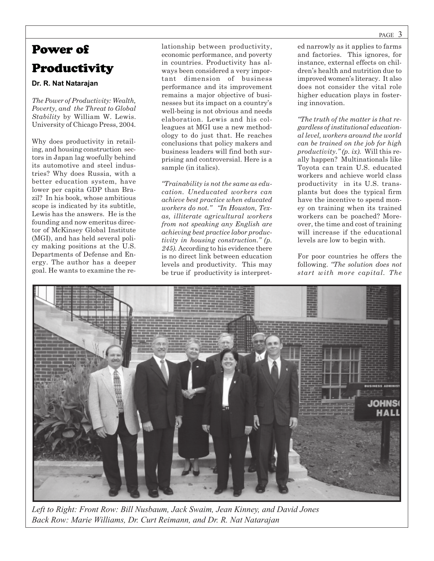# Power of Productivity

### **Dr. R. Nat Natarajan**

*The Power of Productivity: Wealth, Poverty, and the Threat to Global Stability* by William W. Lewis. University of Chicago Press, 2004.

Why does productivity in retailing, and housing construction sectors in Japan lag woefully behind its automotive and steel industries? Why does Russia, with a better education system, have lower per capita GDP than Brazil? In his book, whose ambitious scope is indicated by its subtitle, Lewis has the answers. He is the founding and now emeritus director of McKinsey Global Institute (MGI), and has held several policy making positions at the U.S. Departments of Defense and Energy. The author has a deeper goal. He wants to examine the relationship between productivity, economic performance, and poverty in countries. Productivity has always been considered a very important dimension of business performance and its improvement remains a major objective of businesses but its impact on a country's well-being is not obvious and needs elaboration. Lewis and his colleagues at MGI use a new methodology to do just that. He reaches conclusions that policy makers and business leaders will find both surprising and controversial. Here is a sample (in italics).

*"Trainability is not the same as education. Uneducated workers can achieve best practice when educated workers do not." "In Houston, Texas, illiterate agricultural workers from not speaking any English are achieving best practice labor productivity in housing construction." (p. 245).* According to his evidence there is no direct link between education levels and productivity. This may be true if productivity is interpreted narrowly as it applies to farms and factories. This ignores, for instance, external effects on children's health and nutrition due to improved women's literacy. It also does not consider the vital role higher education plays in fostering innovation.

*"The truth of the matter is that regardless of institutional educational level, workers around the world can be trained on the job for high productivity." (p. ix).* Will this really happen? Multinationals like Toyota can train U.S. educated workers and achieve world class productivity in its U.S. transplants but does the typical firm have the incentive to spend money on training when its trained workers can be poached? Moreover, the time and cost of training will increase if the educational levels are low to begin with.

For poor countries he offers the following. *"The solution does not start with more capital. The*



*Left to Right: Front Row: Bill Nusbaum, Jack Swaim, Jean Kinney, and David Jones Back Row: Marie Williams, Dr. Curt Reimann, and Dr. R. Nat Natarajan*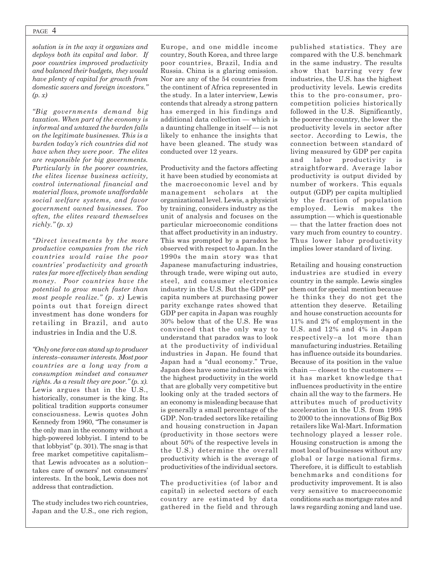#### PAGE 4

*solution is in the way it organizes and deploys both its capital and labor. If poor countries improved productivity and balanced their budgets, they would have plenty of capital for growth from domestic savers and foreign investors." (p. x)*

*"Big governments demand big taxation. When part of the economy is informal and untaxed the burden falls on the legitimate businesses. This is a burden today's rich countries did not have when they were poor. The elites are responsible for big governments. Particularly in the poorer countries, the elites license business activity, control international financial and material flows, promote unaffordable social welfare systems, and favor government owned businesses. Too often, the elites reward themselves richly." (p. x)*

*"Direct investments by the more productive companies from the rich countries would raise the poor countries' productivity and growth rates far more effectively than sending money. Poor countries have the potential to grow much faster than most people realize." (p. x)* Lewis points out that foreign direct investment has done wonders for retailing in Brazil, and auto industries in India and the U.S*.*

*"Only one force can stand up to producer interests*–*consumer interests. Most poor countries are a long way from a consumption mindset and consumer rights. As a result they are poor." (p. x).* Lewis argues that in the U.S., historically, consumer is the king. Its political tradition supports consumer consciousness. Lewis quotes John Kennedy from 1960, "The consumer is the only man in the economy without a high-powered lobbyist. I intend to be that lobbyist" (p. 301). The snag is that free market competitive capitalism– that Lewis advocates as a solution– takes care of owners' not consumers' interests. In the book, Lewis does not address that contradiction.

The study includes two rich countries, Japan and the U.S., one rich region, Europe, and one middle income country, South Korea, and three large poor countries, Brazil, India and Russia. China is a glaring omission. Nor are any of the 54 countries from the continent of Africa represented in the study. In a later interview, Lewis contends that already a strong pattern has emerged in his findings and additional data collection — which is a daunting challenge in itself — is not likely to enhance the insights that have been gleaned. The study was conducted over 12 years.

Productivity and the factors affecting it have been studied by economists at the macroeconomic level and by management scholars at the organizational level. Lewis, a physicist by training, considers industry as the unit of analysis and focuses on the particular microeconomic conditions that affect productivity in an industry. This was prompted by a paradox he observed with respect to Japan. In the 1990s the main story was that Japanese manufacturing industries, through trade, were wiping out auto, steel, and consumer electronics industry in the U.S. But the GDP per capita numbers at purchasing power parity exchange rates showed that GDP per capita in Japan was roughly 30% below that of the U.S. He was convinced that the only way to understand that paradox was to look at the productivity of individual industries in Japan. He found that Japan had a "dual economy." True, Japan does have some industries with the highest productivity in the world that are globally very competitive but looking only at the traded sectors of an economy is misleading because that is generally a small percentage of the GDP. Non-traded sectors like retailing and housing construction in Japan (productivity in those sectors were about 50% of the respective levels in the U.S.) determine the overall productivity which is the average of productivities of the individual sectors.

The productivities (of labor and capital) in selected sectors of each country are estimated by data gathered in the field and through

published statistics. They are compared with the U.S. benchmark in the same industry. The results show that barring very few industries, the U.S. has the highest productivity levels. Lewis credits this to the pro-consumer, procompetition policies historically followed in the U.S. Significantly, the poorer the country, the lower the productivity levels in sector after sector. According to Lewis, the connection between standard of living measured by GDP per capita and labor productivity is straightforward. Average labor productivity is output divided by number of workers. This equals output (GDP) per capita multiplied by the fraction of population employed. Lewis makes the assumption — which is questionable — that the latter fraction does not vary much from country to country. Thus lower labor productivity implies lower standard of living.

Retailing and housing construction industries are studied in every country in the sample. Lewis singles them out for special mention because he thinks they do not get the attention they deserve. Retailing and house construction accounts for 11% and 2% of employment in the U.S. and 12% and 4% in Japan respectively–a lot more than manufacturing industries. Retailing has influence outside its boundaries. Because of its position in the value chain — closest to the customers it has market knowledge that influences productivity in the entire chain all the way to the farmers. He attributes much of productivity acceleration in the U.S. from 1995 to 2000 to the innovations of Big Box retailers like Wal-Mart. Information technology played a lesser role. Housing construction is among the most local of businesses without any global or large national firms. Therefore, it is difficult to establish benchmarks and conditions for productivity improvement. It is also very sensitive to macroeconomic conditions such as mortgage rates and laws regarding zoning and land use.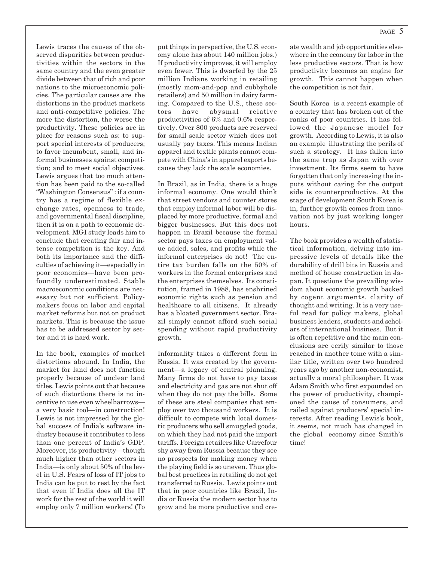Lewis traces the causes of the observed disparities between productivities within the sectors in the same country and the even greater divide between that of rich and poor nations to the microeconomic policies. The particular causes are the distortions in the product markets and anti-competitive policies. The more the distortion, the worse the productivity. These policies are in place for reasons such as: to support special interests of producers; to favor incumbent, small, and informal businesses against competition; and to meet social objectives. Lewis argues that too much attention has been paid to the so-called "Washington Consensus" : if a country has a regime of flexible exchange rates, openness to trade, and governmental fiscal discipline, then it is on a path to economic development. MGI study leads him to conclude that creating fair and intense competition is the key. And both its importance and the difficulties of achieving it—especially in poor economies—have been profoundly underestimated. Stable macroeconomic conditions are necessary but not sufficient. Policymakers focus on labor and capital market reforms but not on product markets. This is because the issue has to be addressed sector by sector and it is hard work.

In the book, examples of market distortions abound. In India, the market for land does not function properly because of unclear land titles. Lewis points out that because of such distortions there is no incentive to use even wheelbarrows a very basic tool—in construction! Lewis is not impressed by the global success of India's software industry because it contributes to less than one percent of India's GDP. Moreover, its productivity—though much higher than other sectors in India—is only about 50% of the level in U.S. Fears of loss of IT jobs to India can be put to rest by the fact that even if India does all the IT work for the rest of the world it will employ only 7 million workers! (To

put things in perspective, the U.S. economy alone has about 140 million jobs.) If productivity improves, it will employ even fewer. This is dwarfed by the 25 million Indians working in retailing (mostly mom-and-pop and cubbyhole retailers) and 50 million in dairy farming. Compared to the U.S., these sectors have abysmal relative productivities of 6% and 0.6% respectively. Over 800 products are reserved for small scale sector which does not usually pay taxes. This means Indian apparel and textile plants cannot compete with China's in apparel exports because they lack the scale economies.

In Brazil, as in India, there is a huge informal economy. One would think that street vendors and counter stores that employ informal labor will be displaced by more productive, formal and bigger businesses. But this does not happen in Brazil because the formal sector pays taxes on employment value added, sales, and profits while the informal enterprises do not! The entire tax burden falls on the 50% of workers in the formal enterprises and the enterprises themselves. Its constitution, framed in 1988, has enshrined economic rights such as pension and healthcare to all citizens. It already has a bloated government sector. Brazil simply cannot afford such social spending without rapid productivity growth.

Informality takes a different form in Russia. It was created by the government—a legacy of central planning. Many firms do not have to pay taxes and electricity and gas are not shut off when they do not pay the bills. Some of these are steel companies that employ over two thousand workers. It is difficult to compete with local domestic producers who sell smuggled goods, on which they had not paid the import tariffs. Foreign retailers like Carrefour shy away from Russia because they see no prospects for making money when the playing field is so uneven. Thus global best practices in retailing do not get transferred to Russia. Lewis points out that in poor countries like Brazil, India or Russia the modern sector has to grow and be more productive and create wealth and job opportunities elsewhere in the economy for labor in the less productive sectors. That is how productivity becomes an engine for growth. This cannot happen when the competition is not fair.

South Korea is a recent example of a country that has broken out of the ranks of poor countries. It has followed the Japanese model for growth. According to Lewis, it is also an example illustrating the perils of such a strategy. It has fallen into the same trap as Japan with over investment. Its firms seem to have forgotten that only increasing the inputs without caring for the output side is counterproductive. At the stage of development South Korea is in, further growth comes from innovation not by just working longer hours.

The book provides a wealth of statistical information, delving into impressive levels of details like the durability of drill bits in Russia and method of house construction in Japan. It questions the prevailing wisdom about economic growth backed by cogent arguments, clarity of thought and writing. It is a very useful read for policy makers, global business leaders, students and scholars of international business. But it is often repetitive and the main conclusions are eerily similar to those reached in another tome with a similar title, written over two hundred years ago by another non-economist, actually a moral philosopher. It was Adam Smith who first expounded on the power of productivity, championed the cause of consumers, and railed against producers' special interests. After reading Lewis's book, it seems, not much has changed in the global economy since Smith's time!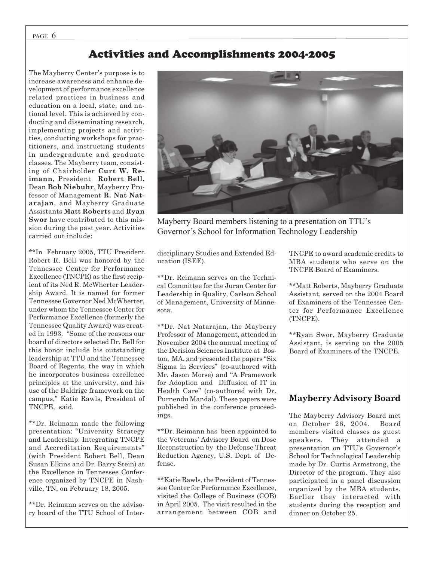### Activities and Accomplishments 2004-2005

The Mayberry Center's purpose is to increase awareness and enhance development of performance excellence related practices in business and education on a local, state, and national level. This is achieved by conducting and disseminating research, implementing projects and activities, conducting workshops for practitioners, and instructing students in undergraduate and graduate classes. The Mayberry team, consisting of Chairholder **Curt W. Reimann**, President **Robert Bell,** Dean **Bob Niebuhr**, Mayberry Professor of Management **R. Nat Natarajan**, and Mayberry Graduate Assistants **Matt Roberts** and **Ryan Swor** have contributed to this mission during the past year. Activities carried out include:

\*\*In February 2005, TTU President Robert R. Bell was honored by the Tennessee Center for Performance Excellence (TNCPE) as the first recipient of its Ned R. McWherter Leadership Award. It is named for former Tennessee Governor Ned McWherter, under whom the Tennessee Center for Performance Excellence (formerly the Tennessee Quality Award) was created in 1993. "Some of the reasons our board of directors selected Dr. Bell for this honor include his outstanding leadership at TTU and the Tennessee Board of Regents, the way in which he incorporates business excellence principles at the university, and his use of the Baldrige framework on the campus," Katie Rawls, President of TNCPE, said.

\*\*Dr. Reimann made the following presentation: "University Strategy and Leadership: Integrating TNCPE and Accreditation Requirements" (with President Robert Bell, Dean Susan Elkins and Dr. Barry Stein) at the Excellence in Tennessee Conference organized by TNCPE in Nashville, TN, on February 18, 2005.

\*\*Dr. Reimann serves on the advisory board of the TTU School of Inter-



Mayberry Board members listening to a presentation on TTU's Governor's School for Information Technology Leadership

disciplinary Studies and Extended Education (ISEE).

\*\*Dr. Reimann serves on the Technical Committee for the Juran Center for Leadership in Quality, Carlson School of Management, University of Minnesota.

\*\*Dr. Nat Natarajan, the Mayberry Professor of Management, attended in November 2004 the annual meeting of the Decision Sciences Institute at Boston, MA, and presented the papers "Six Sigma in Services" (co-authored with Mr. Jason Morse) and "A Framework for Adoption and Diffusion of IT in Health Care" (co-authored with Dr. Purnendu Mandal). These papers were published in the conference proceedings.

\*\*Dr. Reimann has been appointed to the Veterans' Advisory Board on Dose Reconstruction by the Defense Threat Reduction Agency, U.S. Dept. of Defense.

\*\*Katie Rawls, the President of Tennessee Center for Performance Excellence, visited the College of Business (COB) in April 2005. The visit resulted in the arrangement between COB and TNCPE to award academic credits to MBA students who serve on the TNCPE Board of Examiners.

\*\*Matt Roberts, Mayberry Graduate Assistant, served on the 2004 Board of Examiners of the Tennessee Center for Performance Excellence (TNCPE).

\*\*Ryan Swor, Mayberry Graduate Assistant, is serving on the 2005 Board of Examiners of the TNCPE.

### **Mayberry Advisory Board**

The Mayberry Advisory Board met on October 26, 2004. Board members visited classes as guest speakers. They attended a presentation on TTU's Governor's School for Technological Leadership made by Dr. Curtis Armstrong, the Director of the program. They also participated in a panel discussion organized by the MBA students. Earlier they interacted with students during the reception and dinner on October 25.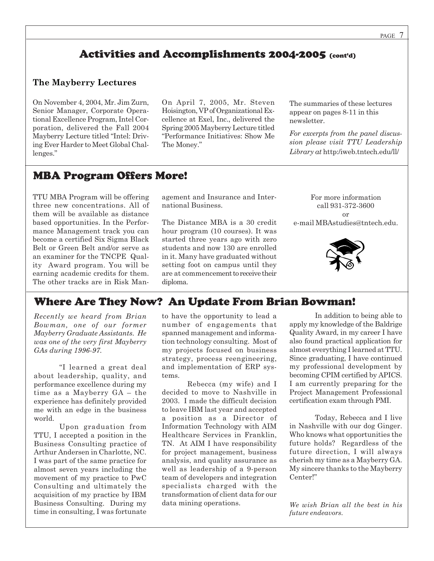### Activities and Accomplishments 2004-2005 (cont'd)

### **The Mayberry Lectures**

On November 4, 2004, Mr. Jim Zurn, Senior Manager, Corporate Operational Excellence Program, Intel Corporation, delivered the Fall 2004 Mayberry Lecture titled "Intel: Driving Ever Harder to Meet Global Challenges."

On April 7, 2005, Mr. Steven Hoisington, VP of Organizational Excellence at Exel, Inc., delivered the Spring 2005 Mayberry Lecture titled "Performance Initiatives: Show Me The Money."

The summaries of these lectures appear on pages 8-11 in this newsletter.

*For excerpts from the panel discussion please visit TTU Leadership Library at* http:/iweb.tntech.edu/ll/

### MBA Program Offers More!

TTU MBA Program will be offering three new concentrations. All of them will be available as distance based opportunities. In the Performance Management track you can become a certified Six Sigma Black Belt or Green Belt and/or serve as an examiner for the TNCPE Quality Award program. You will be earning academic credits for them. The other tracks are in Risk Management and Insurance and International Business.

The Distance MBA is a 30 credit hour program (10 courses). It was started three years ago with zero students and now 130 are enrolled in it. Many have graduated without setting foot on campus until they are at commencement to receive their diploma.

For more information call 931-372-3600 or e-mail MBAstudies@tntech.edu.



### Where Are They Now? An Update From Brian Bowman!

*Recently we heard from Brian Bowman, one of our former Mayberry Graduate Assistants. He was one of the very first Mayberry GAs during 1996-97.*

"I learned a great deal about leadership, quality, and performance excellence during my time as a Mayberry GA – the experience has definitely provided me with an edge in the business world.

Upon graduation from TTU, I accepted a position in the Business Consulting practice of Arthur Andersen in Charlotte, NC. I was part of the same practice for almost seven years including the movement of my practice to PwC Consulting and ultimately the acquisition of my practice by IBM Business Consulting. During my time in consulting, I was fortunate

to have the opportunity to lead a number of engagements that spanned management and information technology consulting. Most of my projects focused on business strategy, process reengineering, and implementation of ERP systems.

Rebecca (my wife) and I decided to move to Nashville in 2003. I made the difficult decision to leave IBM last year and accepted a position as a Director of Information Technology with AIM Healthcare Services in Franklin, TN. At AIM I have responsibility for project management, business analysis, and quality assurance as well as leadership of a 9-person team of developers and integration specialists charged with the transformation of client data for our data mining operations.

In addition to being able to apply my knowledge of the Baldrige Quality Award, in my career I have also found practical application for almost everything I learned at TTU. Since graduating, I have continued my professional development by becoming CPIM certified by APICS. I am currently preparing for the Project Management Professional certification exam through PMI.

Today, Rebecca and I live in Nashville with our dog Ginger. Who knows what opportunities the future holds? Regardless of the future direction, I will always cherish my time as a Mayberry GA. My sincere thanks to the Mayberry Center!"

*We wish Brian all the best in his future endeavors.*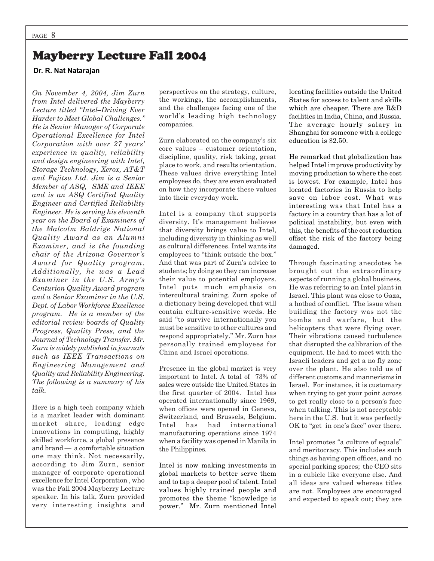## Mayberry Lecture Fall 2004

### **Dr. R. Nat Natarajan**

*On November 4, 2004, Jim Zurn from Intel delivered the Mayberry Lecture titled "Intel–Driving Ever Harder to Meet Global Challenges." He is Senior Manager of Corporate Operational Excellence for Intel Corporation with over 27 years' experience in quality, reliability and design engineering with Intel, Storage Technology, Xerox, AT&T and Fujitsu Ltd. Jim is a Senior Member of ASQ, SME and IEEE and is an ASQ Certified Quality Engineer and Certified Reliability Engineer. He is serving his eleventh year on the Board of Examiners of the Malcolm Baldrige National Quality Award as an Alumni Examiner, and is the founding chair of the Arizona Governor's Award for Quality program. Additionally, he was a Lead Examiner in the U.S. Army's Centurion Quality Award program and a Senior Examiner in the U.S. Dept. of Labor Workforce Excellence program. He is a member of the editorial review boards of Quality Progress, Quality Press, and the Journal of Technology Transfer. Mr. Zurn is widely published in journals such as IEEE Transactions on Engineering Management and Quality and Reliability Engineering. The following is a summary of his talk.*

Here is a high tech company which is a market leader with dominant market share, leading edge innovations in computing, highly skilled workforce, a global presence and brand — a comfortable situation one may think. Not necessarily, according to Jim Zurn, senior manager of corporate operational excellence for Intel Corporation , who was the Fall 2004 Mayberry Lecture speaker. In his talk, Zurn provided very interesting insights and

perspectives on the strategy, culture, the workings, the accomplishments, and the challenges facing one of the world's leading high technology companies.

Zurn elaborated on the company's six core values – customer orientation, discipline, quality, risk taking, great place to work, and results orientation. These values drive everything Intel employees do, they are even evaluated on how they incorporate these values into their everyday work.

Intel is a company that supports diversity. It's management believes that diversity brings value to Intel, including diversity in thinking as well as cultural differences. Intel wants its employees to "think outside the box." And that was part of Zurn's advice to students; by doing so they can increase their value to potential employers. Intel puts much emphasis on intercultural training. Zurn spoke of a dictionary being developed that will contain culture-sensitive words. He said "to survive internationally you must be sensitive to other cultures and respond appropriately." Mr. Zurn has personally trained employees for China and Israel operations.

Presence in the global market is very important to Intel. A total of 73% of sales were outside the United States in the first quarter of 2004. Intel has operated internationally since 1969, when offices were opened in Geneva, Switzerland, and Brussels, Belgium. Intel has had international manufacturing operations since 1974 when a facility was opened in Manila in the Philippines.

Intel is now making investments in global markets to better serve them and to tap a deeper pool of talent. Intel values highly trained people and promotes the theme "knowledge is power." Mr. Zurn mentioned Intel locating facilities outside the United States for access to talent and skills which are cheaper. There are R&D facilities in India, China, and Russia. The average hourly salary in Shanghai for someone with a college education is \$2.50.

He remarked that globalization has helped Intel improve productivity by moving production to where the cost is lowest. For example, Intel has located factories in Russia to help save on labor cost. What was interesting was that Intel has a factory in a country that has a lot of political instability, but even with this, the benefits of the cost reduction offset the risk of the factory being damaged.

Through fascinating anecdotes he brought out the extraordinary aspects of running a global business. He was referring to an Intel plant in Israel. This plant was close to Gaza, a hotbed of conflict. The issue when building the factory was not the bombs and warfare, but the helicopters that were flying over. Their vibrations caused turbulence that disrupted the calibration of the equipment. He had to meet with the Israeli leaders and get a no fly zone over the plant. He also told us of different customs and mannerisms in Israel. For instance, it is customary when trying to get your point across to get really close to a person's face when talking. This is not acceptable here in the U.S. but it was perfectly OK to "get in one's face" over there.

Intel promotes "a culture of equals" and meritocracy. This includes such things as having open offices, and no special parking spaces; the CEO sits in a cubicle like everyone else. And all ideas are valued whereas titles are not. Employees are encouraged and expected to speak out; they are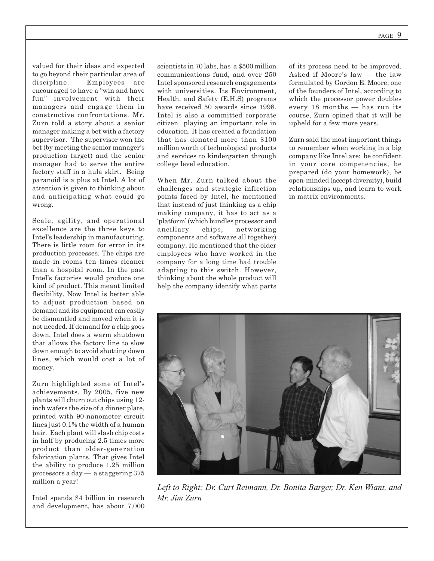valued for their ideas and expected to go beyond their particular area of discipline. Employees are encouraged to have a "win and have fun" involvement with their managers and engage them in constructive confrontations. Mr. Zurn told a story about a senior manager making a bet with a factory supervisor. The supervisor won the bet (by meeting the senior manager's production target) and the senior manager had to serve the entire factory staff in a hula skirt. Being paranoid is a plus at Intel. A lot of attention is given to thinking about and anticipating what could go wrong.

Scale, agility, and operational excellence are the three keys to Intel's leadership in manufacturing. There is little room for error in its production processes. The chips are made in rooms ten times cleaner than a hospital room. In the past Intel's factories would produce one kind of product. This meant limited flexibility. Now Intel is better able to adjust production based on demand and its equipment can easily be dismantled and moved when it is not needed. If demand for a chip goes down, Intel does a warm shutdown that allows the factory line to slow down enough to avoid shutting down lines, which would cost a lot of money.

Zurn highlighted some of Intel's achievements. By 2005, five new plants will churn out chips using 12 inch wafers the size of a dinner plate, printed with 90-nanometer circuit lines just 0.1% the width of a human hair. Each plant will slash chip costs in half by producing 2.5 times more product than older-generation fabrication plants. That gives Intel the ability to produce 1.25 million processors a day — a staggering 375 million a year!

Intel spends \$4 billion in research and development, has about 7,000

scientists in 70 labs, has a \$500 million communications fund, and over 250 Intel sponsored research engagements with universities. Its Environment, Health, and Safety (E.H.S) programs have received 50 awards since 1998. Intel is also a committed corporate citizen playing an important role in education. It has created a foundation that has donated more than \$100 million worth of technological products and services to kindergarten through college level education.

When Mr. Zurn talked about the challenges and strategic inflection points faced by Intel, he mentioned that instead of just thinking as a chip making company, it has to act as a 'platform' (which bundles processor and ancillary chips, networking components and software all together) company. He mentioned that the older employees who have worked in the company for a long time had trouble adapting to this switch. However, thinking about the whole product will help the company identify what parts

of its process need to be improved. Asked if Moore's law — the law formulated by Gordon E. Moore, one of the founders of Intel, according to which the processor power doubles every 18 months — has run its course, Zurn opined that it will be upheld for a few more years.

Zurn said the most important things to remember when working in a big company like Intel are: be confident in your core competencies, be prepared (do your homework), be open-minded (accept diversity), build relationships up, and learn to work in matrix environments.



*Left to Right: Dr. Curt Reimann, Dr. Bonita Barger, Dr. Ken Wiant, and Mr. Jim Zurn*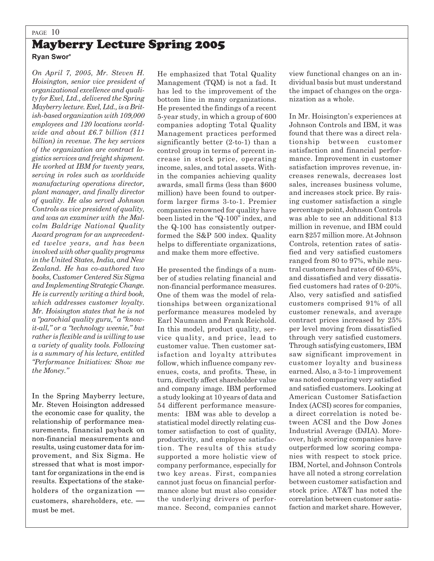## PAGE 10 Mayberry Lecture Spring 2005

**Ryan Swor**\*

*On April 7, 2005, Mr. Steven H. Hoisington, senior vice president of organizational excellence and quality for Exel, Ltd., delivered the Spring Mayberry lecture. Exel, Ltd., is a British-based organization with 109,000 employees and 120 locations worldwide and about £6.7 billion (\$11 billion) in revenue. The key services of the organization are contract logistics services and freight shipment. He worked at IBM for twenty years, serving in roles such as worldwide manufacturing operations director, plant manager, and finally director of quality. He also served Johnson Controls as vice president of quality, and was an examiner with the Malcolm Baldrige National Quality Award program for an unprecedented twelve years, and has been involved with other quality programs in the United States, India, and New Zealand. He has co-authored two books, Customer Centered Six Sigma and Implementing Strategic Change. He is currently writing a third book, which addresses customer loyalty. Mr. Hoisington states that he is not a "parochial quality guru," a "knowit-all," or a "technology weenie," but rather is flexible and is willing to use a variety of quality tools. Following is a summary of his lecture, entitled "Performance Initiatives: Show me the Money."*

In the Spring Mayberry lecture, Mr. Steven Hoisington addressed the economic case for quality, the relationship of performance measurements, financial payback on non-financial measurements and results, using customer data for improvement, and Six Sigma. He stressed that what is most important for organizations in the end is results. Expectations of the stakeholders of the organization  customers, shareholders, etc.  must be met.

He emphasized that Total Quality Management (TQM) is not a fad. It has led to the improvement of the bottom line in many organizations. He presented the findings of a recent 5-year study, in which a group of 600 companies adopting Total Quality Management practices performed significantly better (2-to-1) than a control group in terms of percent increase in stock price, operating income, sales, and total assets. Within the companies achieving quality awards, small firms (less than \$600 million) have been found to outperform larger firms 3-to-1. Premier companies renowned for quality have been listed in the "Q-100" index, and the Q-100 has consistently outperformed the S&P 500 index. Quality helps to differentiate organizations, and make them more effective.

He presented the findings of a number of studies relating financial and non-financial performance measures. One of them was the model of relationships between organizational performance measures modeled by Earl Naumann and Frank Reichold. In this model, product quality, service quality, and price, lead to customer value. Then customer satisfaction and loyalty attributes follow, which influence company revenues, costs, and profits. These, in turn, directly affect shareholder value and company image. IBM performed a study looking at 10 years of data and 54 different performance measurements: IBM was able to develop a statistical model directly relating customer satisfaction to cost of quality, productivity, and employee satisfaction. The results of this study supported a more holistic view of company performance, especially for two key areas. First, companies cannot just focus on financial performance alone but must also consider the underlying drivers of performance. Second, companies cannot view functional changes on an individual basis but must understand the impact of changes on the organization as a whole.

In Mr. Hoisington's experiences at Johnson Controls and IBM, it was found that there was a direct relationship between customer satisfaction and financial performance. Improvement in customer satisfaction improves revenue, increases renewals, decreases lost sales, increases business volume, and increases stock price. By raising customer satisfaction a single percentage point, Johnson Controls was able to see an additional \$13 million in revenue, and IBM could earn \$257 million more. At Johnson Controls, retention rates of satisfied and very satisfied customers ranged from 80 to 97%, while neutral customers had rates of 60-65%, and dissatisfied and very dissatisfied customers had rates of 0-20%. Also, very satisfied and satisfied customers comprised 91% of all customer renewals, and average contract prices increased by 25% per level moving from dissatisfied through very satisfied customers. Through satisfying customers, IBM saw significant improvement in customer loyalty and business earned. Also, a 3-to-1 improvement was noted comparing very satisfied and satisfied customers. Looking at American Customer Satisfaction Index (ACSI) scores for companies, a direct correlation is noted between ACSI and the Dow Jones Industrial Average (DJIA). Moreover, high scoring companies have outperformed low scoring companies with respect to stock price. IBM, Nortel, and Johnson Controls have all noted a strong correlation between customer satisfaction and stock price. AT&T has noted the correlation between customer satisfaction and market share. However,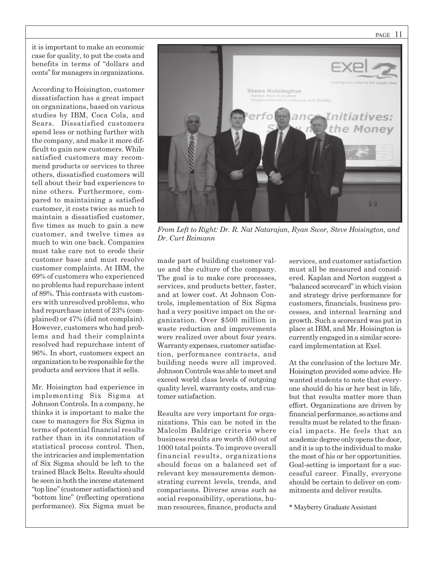PAGE 11

it is important to make an economic case for quality, to put the costs and benefits in terms of "dollars and cents" for managers in organizations.

According to Hoisington, customer dissatisfaction has a great impact on organizations, based on various studies by IBM, Coca Cola, and Sears. Dissatisfied customers spend less or nothing further with the company, and make it more difficult to gain new customers. While satisfied customers may recommend products or services to three others, dissatisfied customers will tell about their bad experiences to nine others. Furthermore, compared to maintaining a satisfied customer, it costs twice as much to maintain a dissatisfied customer, five times as much to gain a new customer, and twelve times as much to win one back. Companies must take care not to erode their customer base and must resolve customer complaints. At IBM, the 69% of customers who experienced no problems had repurchase intent of 89%. This contrasts with customers with unresolved problems, who had repurchase intent of 23% (complained) or 47% (did not complain). However, customers who had problems and had their complaints resolved had repurchase intent of 96%. In short, customers expect an organization to be responsible for the products and services that it sells.

Mr. Hoisington had experience in implementing Six Sigma at Johnson Controls. In a company, he thinks it is important to make the case to managers for Six Sigma in terms of potential financial results rather than in its connotation of statistical process control. Then, the intricacies and implementation of Six Sigma should be left to the trained Black Belts. Results should be seen in both the income statement "top line" (customer satisfaction) and "bottom line" (reflecting operations performance). Six Sigma must be



*From Left to Right: Dr. R. Nat Natarajan, Ryan Swor, Steve Hoisington, and Dr. Curt Reimann*

made part of building customer value and the culture of the company. The goal is to make core processes, services, and products better, faster, and at lower cost. At Johnson Controls, implementation of Six Sigma had a very positive impact on the organization. Over \$500 million in waste reduction and improvements were realized over about four years. Warranty expenses, customer satisfaction, performance contracts, and building needs were all improved. Johnson Controls was able to meet and exceed world class levels of outgoing quality level, warranty costs, and customer satisfaction.

Results are very important for organizations. This can be noted in the Malcolm Baldrige criteria where business results are worth 450 out of 1000 total points. To improve overall financial results, organizations should focus on a balanced set of relevant key measurements demonstrating current levels, trends, and comparisons. Diverse areas such as social responsibility, operations, human resources, finance, products and services, and customer satisfaction must all be measured and considered. Kaplan and Norton suggest a "balanced scorecard" in which vision and strategy drive performance for customers, financials, business processes, and internal learning and growth. Such a scorecard was put in place at IBM, and Mr. Hoisington is currently engaged in a similar scorecard implementation at Exel.

At the conclusion of the lecture Mr. Hoisington provided some advice. He wanted students to note that everyone should do his or her best in life, but that results matter more than effort. Organizations are driven by financial performance, so actions and results must be related to the financial impacts. He feels that an academic degree only opens the door, and it is up to the individual to make the most of his or her opportunities. Goal-setting is important for a successful career. Finally, everyone should be certain to deliver on commitments and deliver results.

\* Mayberry Graduate Assistant